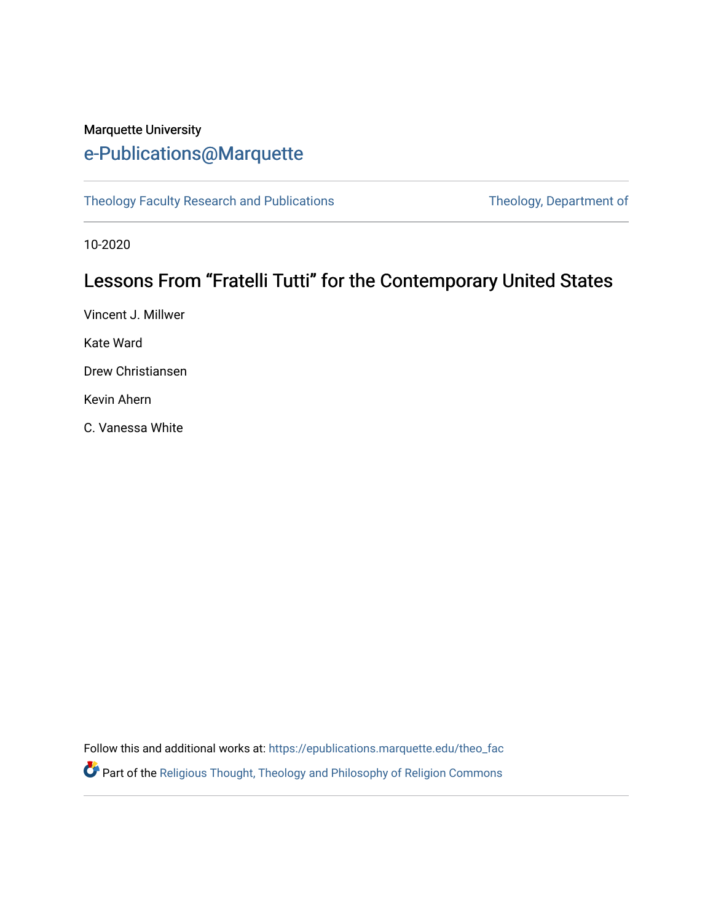## Marquette University [e-Publications@Marquette](https://epublications.marquette.edu/)

[Theology Faculty Research and Publications](https://epublications.marquette.edu/theo_fac) Theology, Department of

10-2020

# Lessons From "Fratelli Tutti" for the Contemporary United States

Vincent J. Millwer Kate Ward Drew Christiansen

Kevin Ahern

C. Vanessa White

Follow this and additional works at: [https://epublications.marquette.edu/theo\\_fac](https://epublications.marquette.edu/theo_fac?utm_source=epublications.marquette.edu%2Ftheo_fac%2F811&utm_medium=PDF&utm_campaign=PDFCoverPages)  Part of the [Religious Thought, Theology and Philosophy of Religion Commons](http://network.bepress.com/hgg/discipline/544?utm_source=epublications.marquette.edu%2Ftheo_fac%2F811&utm_medium=PDF&utm_campaign=PDFCoverPages)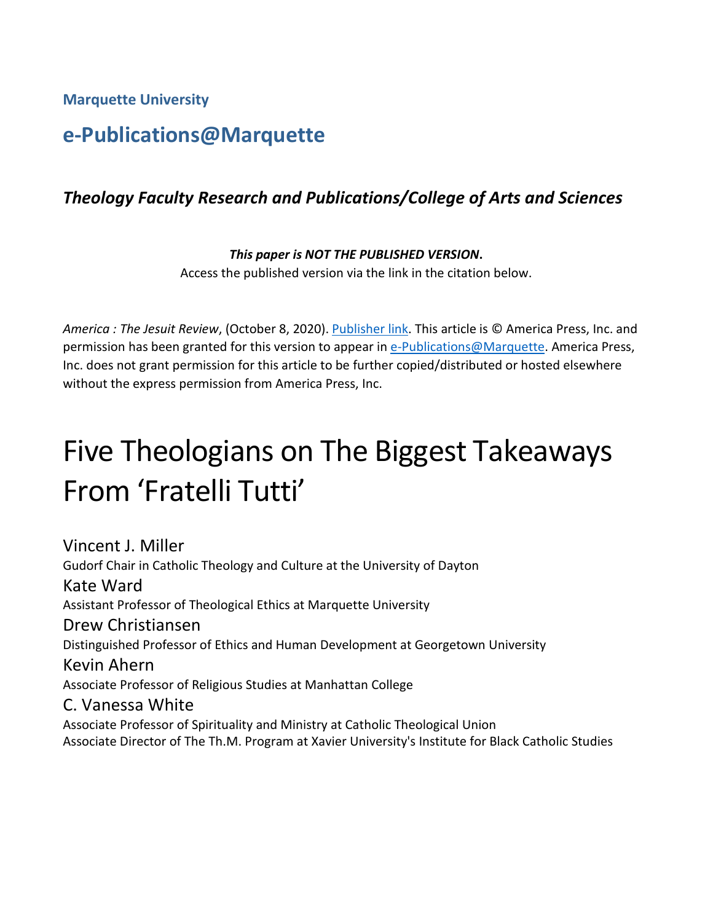**Marquette University**

# **e-Publications@Marquette**

#### *Theology Faculty Research and Publications/College of Arts and Sciences*

#### *This paper is NOT THE PUBLISHED VERSION***.**

Access the published version via the link in the citation below.

*America : The Jesuit Review*, (October 8, 2020). [Publisher link.](https://www.americamagazine.org/faith/2020/10/07/catholic-theologians-takeaways-fratelli-tutti-pope-francis) This article is © America Press, Inc. and permission has been granted for this version to appear in [e-Publications@Marquette.](http://epublications.marquette.edu/) America Press, Inc. does not grant permission for this article to be further copied/distributed or hosted elsewhere without the express permission from America Press, Inc.

# Five Theologians on The Biggest Takeaways From 'Fratelli Tutti'

Vincent J. Miller Gudorf Chair in Catholic Theology and Culture at the University of Dayton Kate Ward Assistant Professor of Theological Ethics at Marquette University Drew Christiansen Distinguished Professor of Ethics and Human Development at Georgetown University Kevin Ahern Associate Professor of Religious Studies at Manhattan College C. Vanessa White Associate Professor of Spirituality and Ministry at Catholic Theological Union Associate Director of The Th.M. Program at Xavier University's Institute for Black Catholic Studies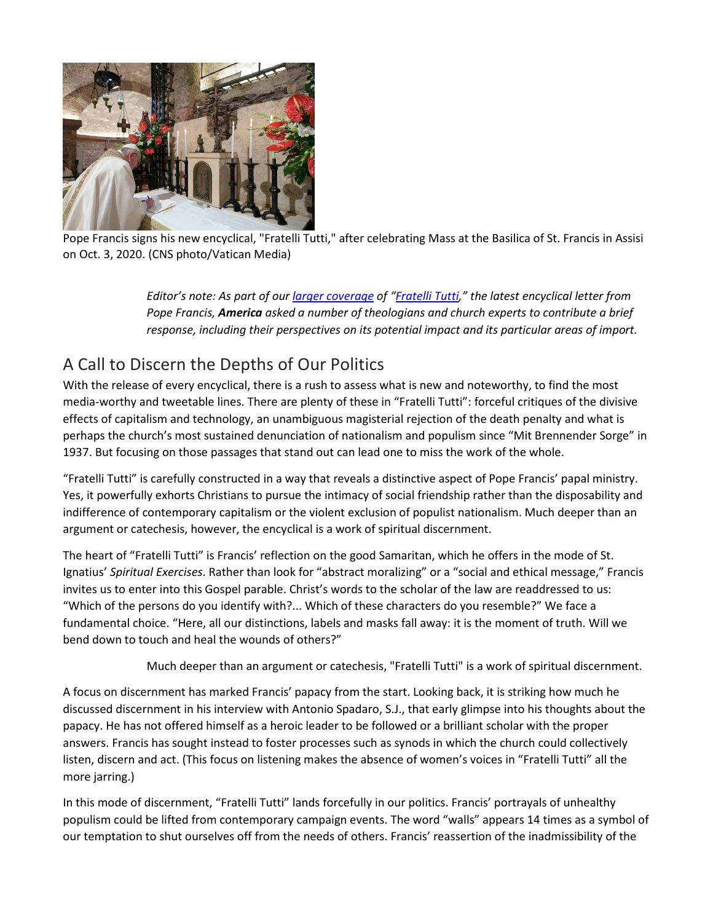

Pope Francis signs his new encyclical, "Fratelli Tutti," after celebrating Mass at the Basilica of St. Francis in Assisi on Oct. 3, 2020. (CNS photo/Vatican Media)

> *Editor's note: As part of our [larger coverage](https://www.americamagazine.org/topic/fratelli-tutti) of ["Fratelli Tutti,](http://www.vatican.va/content/francesco/en/encyclicals/documents/papa-francesco_20201003_enciclica-fratelli-tutti.html)" the latest encyclical letter from Pope Francis, America asked a number of theologians and church experts to contribute a brief response, including their perspectives on its potential impact and its particular areas of import.*

# A Call to Discern the Depths of Our Politics

With the release of every encyclical, there is a rush to assess what is new and noteworthy, to find the most media-worthy and tweetable lines. There are plenty of these in "Fratelli Tutti": forceful critiques of the divisive effects of capitalism and technology, an unambiguous magisterial rejection of the death penalty and what is perhaps the church's most sustained denunciation of nationalism and populism since "Mit Brennender Sorge" in 1937. But focusing on those passages that stand out can lead one to miss the work of the whole.

"Fratelli Tutti" is carefully constructed in a way that reveals a distinctive aspect of Pope Francis' papal ministry. Yes, it powerfully exhorts Christians to pursue the intimacy of social friendship rather than the disposability and indifference of contemporary capitalism or the violent exclusion of populist nationalism. Much deeper than an argument or catechesis, however, the encyclical is a work of spiritual discernment.

The heart of "Fratelli Tutti" is Francis' reflection on the good Samaritan, which he offers in the mode of St. Ignatius' *Spiritual Exercises*. Rather than look for "abstract moralizing" or a "social and ethical message," Francis invites us to enter into this Gospel parable. Christ's words to the scholar of the law are readdressed to us: "Which of the persons do you identify with?... Which of these characters do you resemble?" We face a fundamental choice. "Here, all our distinctions, labels and masks fall away: it is the moment of truth. Will we bend down to touch and heal the wounds of others?"

Much deeper than an argument or catechesis, "Fratelli Tutti" is a work of spiritual discernment.

A focus on discernment has marked Francis' papacy from the start. Looking back, it is striking how much he discussed discernment in his interview with Antonio Spadaro, S.J., that early glimpse into his thoughts about the papacy. He has not offered himself as a heroic leader to be followed or a brilliant scholar with the proper answers. Francis has sought instead to foster processes such as synods in which the church could collectively listen, discern and act. (This focus on listening makes the absence of women's voices in "Fratelli Tutti" all the more jarring.)

In this mode of discernment, "Fratelli Tutti" lands forcefully in our politics. Francis' portrayals of unhealthy populism could be lifted from contemporary campaign events. The word "walls" appears 14 times as a symbol of our temptation to shut ourselves off from the needs of others. Francis' reassertion of the inadmissibility of the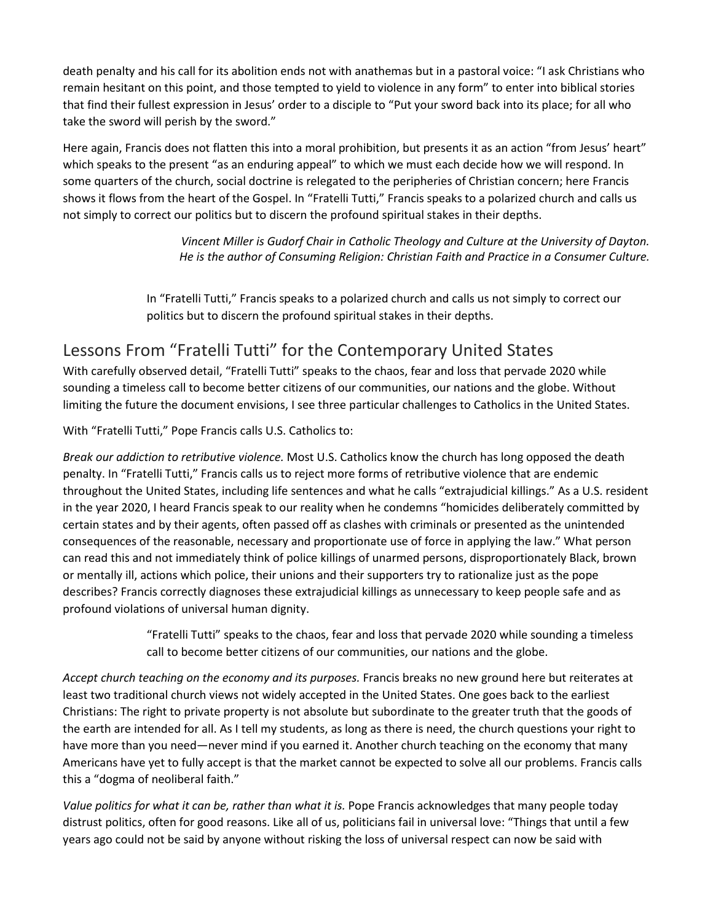death penalty and his call for its abolition ends not with anathemas but in a pastoral voice: "I ask Christians who remain hesitant on this point, and those tempted to yield to violence in any form" to enter into biblical stories that find their fullest expression in Jesus' order to a disciple to "Put your sword back into its place; for all who take the sword will perish by the sword."

Here again, Francis does not flatten this into a moral prohibition, but presents it as an action "from Jesus' heart" which speaks to the present "as an enduring appeal" to which we must each decide how we will respond. In some quarters of the church, social doctrine is relegated to the peripheries of Christian concern; here Francis shows it flows from the heart of the Gospel. In "Fratelli Tutti," Francis speaks to a polarized church and calls us not simply to correct our politics but to discern the profound spiritual stakes in their depths.

> *Vincent Miller is Gudorf Chair in Catholic Theology and Culture at the University of Dayton. He is the author of Consuming Religion: Christian Faith and Practice in a Consumer Culture.*

In "Fratelli Tutti," Francis speaks to a polarized church and calls us not simply to correct our politics but to discern the profound spiritual stakes in their depths.

## Lessons From "Fratelli Tutti" for the Contemporary United States

With carefully observed detail, "Fratelli Tutti" speaks to the chaos, fear and loss that pervade 2020 while sounding a timeless call to become better citizens of our communities, our nations and the globe. Without limiting the future the document envisions, I see three particular challenges to Catholics in the United States.

With "Fratelli Tutti," Pope Francis calls U.S. Catholics to:

*Break our addiction to retributive violence.* Most U.S. Catholics know the church has long opposed the death penalty. In "Fratelli Tutti," Francis calls us to reject more forms of retributive violence that are endemic throughout the United States, including life sentences and what he calls "extrajudicial killings." As a U.S. resident in the year 2020, I heard Francis speak to our reality when he condemns "homicides deliberately committed by certain states and by their agents, often passed off as clashes with criminals or presented as the unintended consequences of the reasonable, necessary and proportionate use of force in applying the law." What person can read this and not immediately think of police killings of unarmed persons, disproportionately Black, brown or mentally ill, actions which police, their unions and their supporters try to rationalize just as the pope describes? Francis correctly diagnoses these extrajudicial killings as unnecessary to keep people safe and as profound violations of universal human dignity.

> "Fratelli Tutti" speaks to the chaos, fear and loss that pervade 2020 while sounding a timeless call to become better citizens of our communities, our nations and the globe.

*Accept church teaching on the economy and its purposes.* Francis breaks no new ground here but reiterates at least two traditional church views not widely accepted in the United States. One goes back to the earliest Christians: The right to private property is not absolute but subordinate to the greater truth that the goods of the earth are intended for all. As I tell my students, as long as there is need, the church questions your right to have more than you need—never mind if you earned it. Another church teaching on the economy that many Americans have yet to fully accept is that the market cannot be expected to solve all our problems. Francis calls this a "dogma of neoliberal faith."

*Value politics for what it can be, rather than what it is.* Pope Francis acknowledges that many people today distrust politics, often for good reasons. Like all of us, politicians fail in universal love: "Things that until a few years ago could not be said by anyone without risking the loss of universal respect can now be said with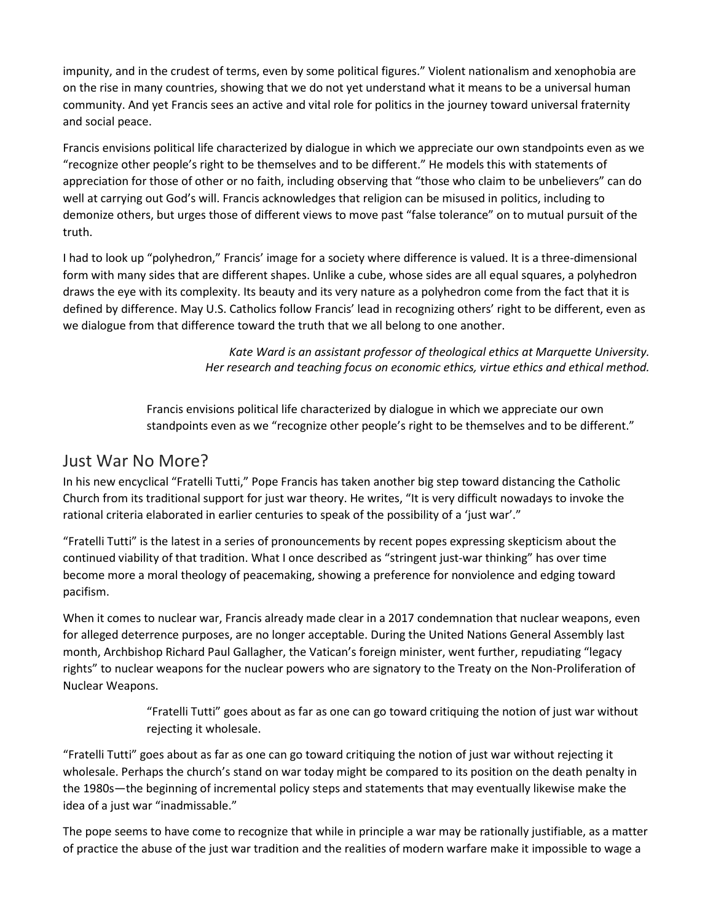impunity, and in the crudest of terms, even by some political figures." Violent nationalism and xenophobia are on the rise in many countries, showing that we do not yet understand what it means to be a universal human community. And yet Francis sees an active and vital role for politics in the journey toward universal fraternity and social peace.

Francis envisions political life characterized by dialogue in which we appreciate our own standpoints even as we "recognize other people's right to be themselves and to be different." He models this with statements of appreciation for those of other or no faith, including observing that "those who claim to be unbelievers" can do well at carrying out God's will. Francis acknowledges that religion can be misused in politics, including to demonize others, but urges those of different views to move past "false tolerance" on to mutual pursuit of the truth.

I had to look up "polyhedron," Francis' image for a society where difference is valued. It is a three-dimensional form with many sides that are different shapes. Unlike a cube, whose sides are all equal squares, a polyhedron draws the eye with its complexity. Its beauty and its very nature as a polyhedron come from the fact that it is defined by difference. May U.S. Catholics follow Francis' lead in recognizing others' right to be different, even as we dialogue from that difference toward the truth that we all belong to one another.

> *Kate Ward is an assistant professor of theological ethics at Marquette University. Her research and teaching focus on economic ethics, virtue ethics and ethical method.*

Francis envisions political life characterized by dialogue in which we appreciate our own standpoints even as we "recognize other people's right to be themselves and to be different."

#### Just War No More?

In his new encyclical "Fratelli Tutti," Pope Francis has taken another big step toward distancing the Catholic Church from its traditional support for just war theory. He writes, "It is very difficult nowadays to invoke the rational criteria elaborated in earlier centuries to speak of the possibility of a 'just war'."

"Fratelli Tutti" is the latest in a series of pronouncements by recent popes expressing skepticism about the continued viability of that tradition. What I once described as "stringent just-war thinking" has over time become more a moral theology of peacemaking, showing a preference for nonviolence and edging toward pacifism.

When it comes to nuclear war, Francis already made clear in a 2017 condemnation that nuclear weapons, even for alleged deterrence purposes, are no longer acceptable. During the United Nations General Assembly last month, Archbishop Richard Paul Gallagher, the Vatican's foreign minister, went further, repudiating "legacy rights" to nuclear weapons for the nuclear powers who are signatory to the Treaty on the Non-Proliferation of Nuclear Weapons.

> "Fratelli Tutti" goes about as far as one can go toward critiquing the notion of just war without rejecting it wholesale.

"Fratelli Tutti" goes about as far as one can go toward critiquing the notion of just war without rejecting it wholesale. Perhaps the church's stand on war today might be compared to its position on the death penalty in the 1980s—the beginning of incremental policy steps and statements that may eventually likewise make the idea of a just war "inadmissable."

The pope seems to have come to recognize that while in principle a war may be rationally justifiable, as a matter of practice the abuse of the just war tradition and the realities of modern warfare make it impossible to wage a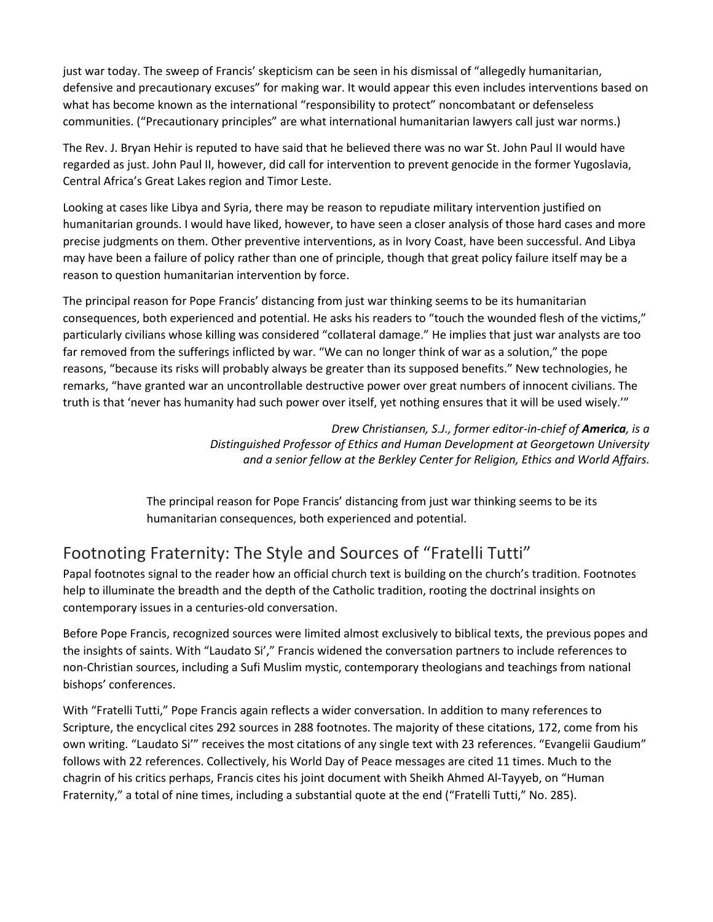just war today. The sweep of Francis' skepticism can be seen in his dismissal of "allegedly humanitarian, defensive and precautionary excuses" for making war. It would appear this even includes interventions based on what has become known as the international "responsibility to protect" noncombatant or defenseless communities. ("Precautionary principles" are what international humanitarian lawyers call just war norms.)

The Rev. J. Bryan Hehir is reputed to have said that he believed there was no war St. John Paul II would have regarded as just. John Paul II, however, did call for intervention to prevent genocide in the former Yugoslavia, Central Africa's Great Lakes region and Timor Leste.

Looking at cases like Libya and Syria, there may be reason to repudiate military intervention justified on humanitarian grounds. I would have liked, however, to have seen a closer analysis of those hard cases and more precise judgments on them. Other preventive interventions, as in Ivory Coast, have been successful. And Libya may have been a failure of policy rather than one of principle, though that great policy failure itself may be a reason to question humanitarian intervention by force.

The principal reason for Pope Francis' distancing from just war thinking seems to be its humanitarian consequences, both experienced and potential. He asks his readers to "touch the wounded flesh of the victims," particularly civilians whose killing was considered "collateral damage." He implies that just war analysts are too far removed from the sufferings inflicted by war. "We can no longer think of war as a solution," the pope reasons, "because its risks will probably always be greater than its supposed benefits." New technologies, he remarks, "have granted war an uncontrollable destructive power over great numbers of innocent civilians. The truth is that 'never has humanity had such power over itself, yet nothing ensures that it will be used wisely.'"

> *Drew Christiansen, S.J., former editor-in-chief of America, is a Distinguished Professor of Ethics and Human Development at Georgetown University and a senior fellow at the Berkley Center for Religion, Ethics and World Affairs.*

The principal reason for Pope Francis' distancing from just war thinking seems to be its humanitarian consequences, both experienced and potential.

# Footnoting Fraternity: The Style and Sources of "Fratelli Tutti"

Papal footnotes signal to the reader how an official church text is building on the church's tradition. Footnotes help to illuminate the breadth and the depth of the Catholic tradition, rooting the doctrinal insights on contemporary issues in a centuries-old conversation.

Before Pope Francis, recognized sources were limited almost exclusively to biblical texts, the previous popes and the insights of saints. With "Laudato Si'," Francis widened the conversation partners to include references to non-Christian sources, including a Sufi Muslim mystic, contemporary theologians and teachings from national bishops' conferences.

With "Fratelli Tutti," Pope Francis again reflects a wider conversation. In addition to many references to Scripture, the encyclical cites 292 sources in 288 footnotes. The majority of these citations, 172, come from his own writing. "Laudato Si'" receives the most citations of any single text with 23 references. "Evangelii Gaudium" follows with 22 references. Collectively, his World Day of Peace messages are cited 11 times. Much to the chagrin of his critics perhaps, Francis cites his joint document with Sheikh Ahmed Al-Tayyeb, on "Human Fraternity," a total of nine times, including a substantial quote at the end ("Fratelli Tutti," No. 285).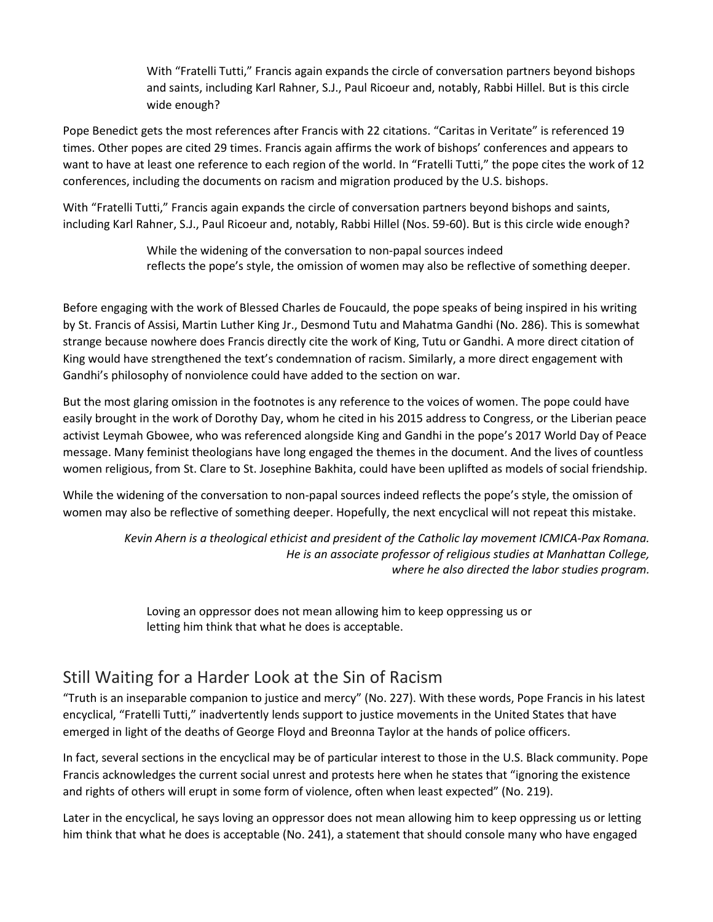With "Fratelli Tutti," Francis again expands the circle of conversation partners beyond bishops and saints, including Karl Rahner, S.J., Paul Ricoeur and, notably, Rabbi Hillel. But is this circle wide enough?

Pope Benedict gets the most references after Francis with 22 citations. "Caritas in Veritate" is referenced 19 times. Other popes are cited 29 times. Francis again affirms the work of bishops' conferences and appears to want to have at least one reference to each region of the world. In "Fratelli Tutti," the pope cites the work of 12 conferences, including the documents on racism and migration produced by the U.S. bishops.

With "Fratelli Tutti," Francis again expands the circle of conversation partners beyond bishops and saints, including Karl Rahner, S.J., Paul Ricoeur and, notably, Rabbi Hillel (Nos. 59-60). But is this circle wide enough?

> While the widening of the conversation to non-papal sources indeed reflects the pope's style, the omission of women may also be reflective of something deeper.

Before engaging with the work of Blessed Charles de Foucauld, the pope speaks of being inspired in his writing by St. Francis of Assisi, Martin Luther King Jr., Desmond Tutu and Mahatma Gandhi (No. 286). This is somewhat strange because nowhere does Francis directly cite the work of King, Tutu or Gandhi. A more direct citation of King would have strengthened the text's condemnation of racism. Similarly, a more direct engagement with Gandhi's philosophy of nonviolence could have added to the section on war.

But the most glaring omission in the footnotes is any reference to the voices of women. The pope could have easily brought in the work of Dorothy Day, whom he cited in his 2015 address to Congress, or the Liberian peace activist Leymah Gbowee, who was referenced alongside King and Gandhi in the pope's 2017 World Day of Peace message. Many feminist theologians have long engaged the themes in the document. And the lives of countless women religious, from St. Clare to St. Josephine Bakhita, could have been uplifted as models of social friendship.

While the widening of the conversation to non-papal sources indeed reflects the pope's style, the omission of women may also be reflective of something deeper. Hopefully, the next encyclical will not repeat this mistake.

> *Kevin Ahern is a theological ethicist and president of the Catholic lay movement ICMICA-Pax Romana. He is an associate professor of religious studies at Manhattan College, where he also directed the labor studies program.*

Loving an oppressor does not mean allowing him to keep oppressing us or letting him think that what he does is acceptable.

### Still Waiting for a Harder Look at the Sin of Racism

"Truth is an inseparable companion to justice and mercy" (No. 227). With these words, Pope Francis in his latest encyclical, "Fratelli Tutti," inadvertently lends support to justice movements in the United States that have emerged in light of the deaths of George Floyd and Breonna Taylor at the hands of police officers.

In fact, several sections in the encyclical may be of particular interest to those in the U.S. Black community. Pope Francis acknowledges the current social unrest and protests here when he states that "ignoring the existence and rights of others will erupt in some form of violence, often when least expected" (No. 219).

Later in the encyclical, he says loving an oppressor does not mean allowing him to keep oppressing us or letting him think that what he does is acceptable (No. 241), a statement that should console many who have engaged